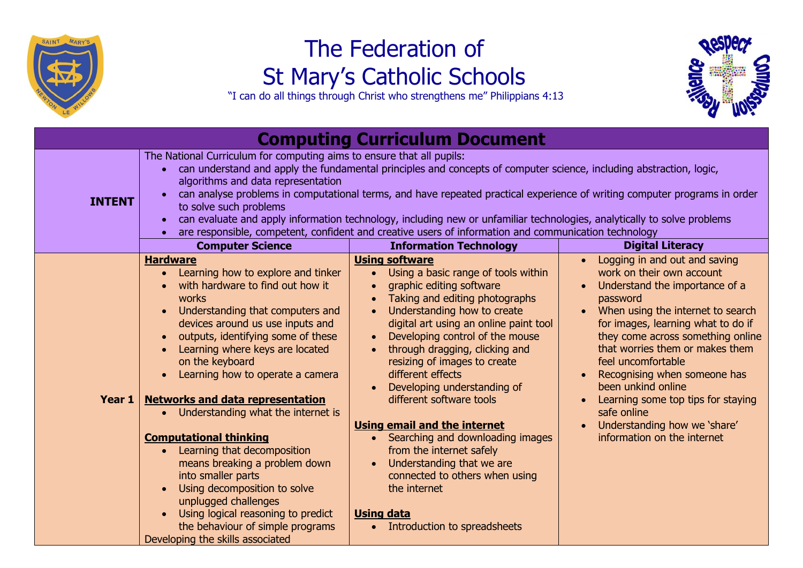

## The Federation of St Mary's Catholic Schools

"I can do all things through Christ who strengthens me" Philippians 4:13



| <b>Computing Curriculum Document</b> |                                                                                                                                                                                                                                                                                                                                                                                                                                                                                                                                                                                                                                |                                                                                                                                                                                                                                                                                                                                                                                                                                                                                                                                                                                                                                          |                                                                                                                                                                                                                                                                                                                                                                                                                                                             |  |  |
|--------------------------------------|--------------------------------------------------------------------------------------------------------------------------------------------------------------------------------------------------------------------------------------------------------------------------------------------------------------------------------------------------------------------------------------------------------------------------------------------------------------------------------------------------------------------------------------------------------------------------------------------------------------------------------|------------------------------------------------------------------------------------------------------------------------------------------------------------------------------------------------------------------------------------------------------------------------------------------------------------------------------------------------------------------------------------------------------------------------------------------------------------------------------------------------------------------------------------------------------------------------------------------------------------------------------------------|-------------------------------------------------------------------------------------------------------------------------------------------------------------------------------------------------------------------------------------------------------------------------------------------------------------------------------------------------------------------------------------------------------------------------------------------------------------|--|--|
| <b>INTENT</b>                        | The National Curriculum for computing aims to ensure that all pupils:<br>• can understand and apply the fundamental principles and concepts of computer science, including abstraction, logic,<br>algorithms and data representation<br>can analyse problems in computational terms, and have repeated practical experience of writing computer programs in order<br>to solve such problems<br>can evaluate and apply information technology, including new or unfamiliar technologies, analytically to solve problems<br>are responsible, competent, confident and creative users of information and communication technology |                                                                                                                                                                                                                                                                                                                                                                                                                                                                                                                                                                                                                                          |                                                                                                                                                                                                                                                                                                                                                                                                                                                             |  |  |
|                                      | <b>Computer Science</b>                                                                                                                                                                                                                                                                                                                                                                                                                                                                                                                                                                                                        | <b>Information Technology</b>                                                                                                                                                                                                                                                                                                                                                                                                                                                                                                                                                                                                            | <b>Digital Literacy</b>                                                                                                                                                                                                                                                                                                                                                                                                                                     |  |  |
| Year 1                               | <b>Hardware</b><br>Learning how to explore and tinker<br>with hardware to find out how it<br>works<br>Understanding that computers and<br>devices around us use inputs and<br>outputs, identifying some of these<br>Learning where keys are located<br>on the keyboard<br>Learning how to operate a camera<br><b>Networks and data representation</b><br>Understanding what the internet is<br>$\bullet$<br><b>Computational thinking</b><br>Learning that decomposition<br>means breaking a problem down<br>into smaller parts<br>Using decomposition to solve<br>unplugged challenges                                        | <b>Using software</b><br>Using a basic range of tools within<br>$\bullet$<br>graphic editing software<br>$\bullet$<br>Taking and editing photographs<br>Understanding how to create<br>$\bullet$<br>digital art using an online paint tool<br>Developing control of the mouse<br>$\bullet$<br>through dragging, clicking and<br>resizing of images to create<br>different effects<br>Developing understanding of<br>different software tools<br>Using email and the internet<br>Searching and downloading images<br>from the internet safely<br>Understanding that we are<br>$\bullet$<br>connected to others when using<br>the internet | Logging in and out and saving<br>work on their own account<br>Understand the importance of a<br>password<br>When using the internet to search<br>for images, learning what to do if<br>they come across something online<br>that worries them or makes them<br>feel uncomfortable<br>Recognising when someone has<br>been unkind online<br>Learning some top tips for staying<br>safe online<br>Understanding how we 'share'<br>information on the internet |  |  |
|                                      | Using logical reasoning to predict<br>the behaviour of simple programs<br>Developing the skills associated                                                                                                                                                                                                                                                                                                                                                                                                                                                                                                                     | <b>Using data</b><br>Introduction to spreadsheets                                                                                                                                                                                                                                                                                                                                                                                                                                                                                                                                                                                        |                                                                                                                                                                                                                                                                                                                                                                                                                                                             |  |  |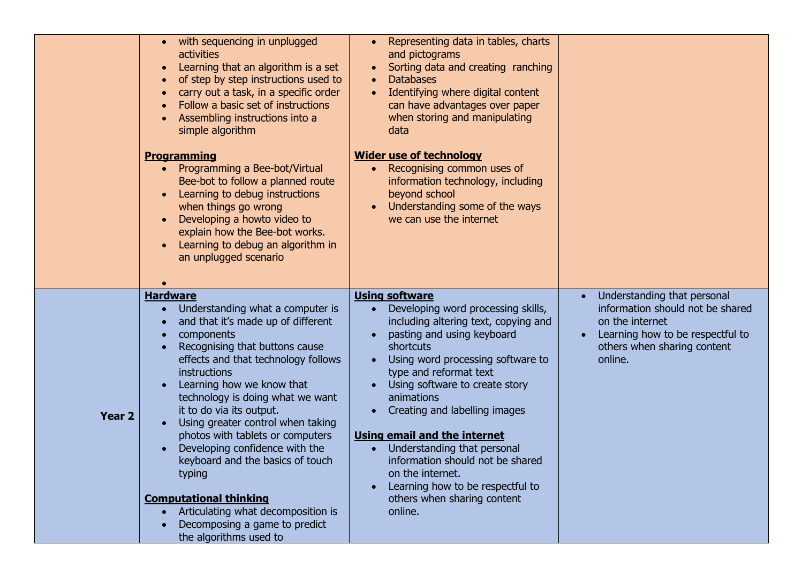|                   | • with sequencing in unplugged<br><b>activities</b><br>Learning that an algorithm is a set<br>of step by step instructions used to<br>carry out a task, in a specific order<br>Follow a basic set of instructions<br>Assembling instructions into a<br>simple algorithm                                                                                                                                                                                                                                                                                                                    | Representing data in tables, charts<br>$\bullet$<br>and pictograms<br>Sorting data and creating ranching<br><b>Databases</b><br>$\bullet$<br>Identifying where digital content<br>$\bullet$<br>can have advantages over paper<br>when storing and manipulating<br>data                                                                                                                                                                                                                                                                              |                                                                                                                                                                  |
|-------------------|--------------------------------------------------------------------------------------------------------------------------------------------------------------------------------------------------------------------------------------------------------------------------------------------------------------------------------------------------------------------------------------------------------------------------------------------------------------------------------------------------------------------------------------------------------------------------------------------|-----------------------------------------------------------------------------------------------------------------------------------------------------------------------------------------------------------------------------------------------------------------------------------------------------------------------------------------------------------------------------------------------------------------------------------------------------------------------------------------------------------------------------------------------------|------------------------------------------------------------------------------------------------------------------------------------------------------------------|
|                   | <b>Programming</b><br>• Programming a Bee-bot/Virtual<br>Bee-bot to follow a planned route<br>Learning to debug instructions<br>$\bullet$<br>when things go wrong<br>Developing a howto video to<br>explain how the Bee-bot works.<br>Learning to debug an algorithm in<br>an unplugged scenario                                                                                                                                                                                                                                                                                           | <b>Wider use of technology</b><br>• Recognising common uses of<br>information technology, including<br>beyond school<br>Understanding some of the ways<br>we can use the internet                                                                                                                                                                                                                                                                                                                                                                   |                                                                                                                                                                  |
| Year <sub>2</sub> | <b>Hardware</b><br>Understanding what a computer is<br>and that it's made up of different<br>components<br>Recognising that buttons cause<br>effects and that technology follows<br>instructions<br>Learning how we know that<br>technology is doing what we want<br>it to do via its output.<br>Using greater control when taking<br>photos with tablets or computers<br>Developing confidence with the<br>keyboard and the basics of touch<br>typing<br><b>Computational thinking</b><br>• Articulating what decomposition is<br>Decomposing a game to predict<br>the algorithms used to | <b>Using software</b><br>Developing word processing skills,<br>including altering text, copying and<br>pasting and using keyboard<br>shortcuts<br>Using word processing software to<br>$\bullet$<br>type and reformat text<br>Using software to create story<br>animations<br>Creating and labelling images<br>$\bullet$<br><b>Using email and the internet</b><br>• Understanding that personal<br>information should not be shared<br>on the internet.<br>Learning how to be respectful to<br>$\bullet$<br>others when sharing content<br>online. | Understanding that personal<br>information should not be shared<br>on the internet<br>Learning how to be respectful to<br>others when sharing content<br>online. |